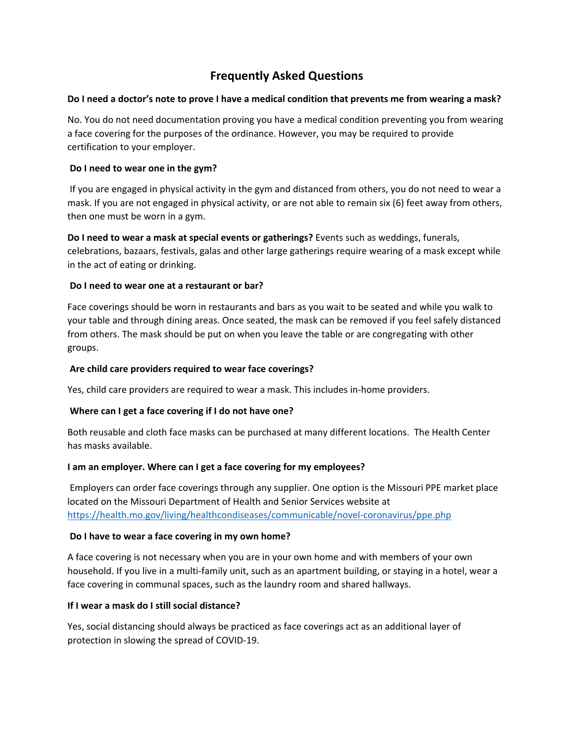# **Frequently Asked Questions**

#### **Do I need a doctor's note to prove I have a medical condition that prevents me from wearing a mask?**

No. You do not need documentation proving you have a medical condition preventing you from wearing a face covering for the purposes of the ordinance. However, you may be required to provide certification to your employer.

# **Do I need to wear one in the gym?**

 If you are engaged in physical activity in the gym and distanced from others, you do not need to wear a mask. If you are not engaged in physical activity, or are not able to remain six (6) feet away from others, then one must be worn in a gym.

**Do I need to wear a mask at special events or gatherings?** Events such as weddings, funerals, celebrations, bazaars, festivals, galas and other large gatherings require wearing of a mask except while in the act of eating or drinking.

# **Do I need to wear one at a restaurant or bar?**

Face coverings should be worn in restaurants and bars as you wait to be seated and while you walk to your table and through dining areas. Once seated, the mask can be removed if you feel safely distanced from others. The mask should be put on when you leave the table or are congregating with other groups.

# **Are child care providers required to wear face coverings?**

Yes, child care providers are required to wear a mask. This includes in-home providers.

#### **Where can I get a face covering if I do not have one?**

Both reusable and cloth face masks can be purchased at many different locations. The Health Center has masks available.

#### **I am an employer. Where can I get a face covering for my employees?**

 Employers can order face coverings through any supplier. One option is the Missouri PPE market place located on the Missouri Department of Health and Senior Services website at https://health.mo.gov/living/healthcondiseases/communicable/novel-coronavirus/ppe.php

#### **Do I have to wear a face covering in my own home?**

A face covering is not necessary when you are in your own home and with members of your own household. If you live in a multi-family unit, such as an apartment building, or staying in a hotel, wear a face covering in communal spaces, such as the laundry room and shared hallways.

#### **If I wear a mask do I still social distance?**

Yes, social distancing should always be practiced as face coverings act as an additional layer of protection in slowing the spread of COVID-19.